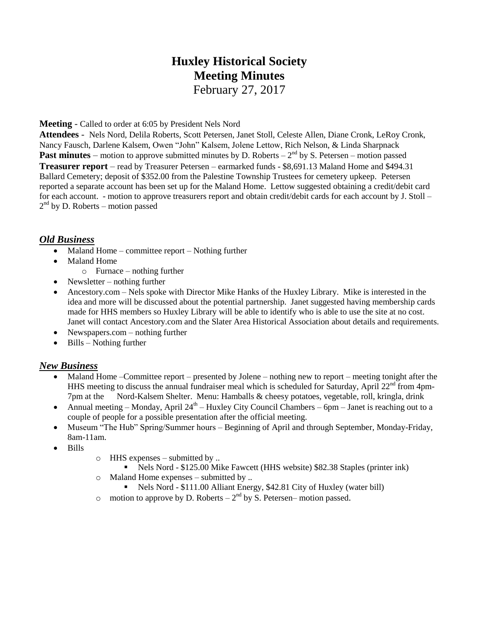# **Huxley Historical Society Meeting Minutes**

February 27, 2017

**Meeting** - Called to order at 6:05 by President Nels Nord

**Attendees** - Nels Nord, Delila Roberts, Scott Petersen, Janet Stoll, Celeste Allen, Diane Cronk, LeRoy Cronk, Nancy Fausch, Darlene Kalsem, Owen "John" Kalsem, Jolene Lettow, Rich Nelson, & Linda Sharpnack **Past minutes** – motion to approve submitted minutes by D. Roberts –  $2<sup>nd</sup>$  by S. Petersen – motion passed **Treasurer report** – read by Treasurer Petersen – earmarked funds - \$8,691.13 Maland Home and \$494.31 Ballard Cemetery; deposit of \$352.00 from the Palestine Township Trustees for cemetery upkeep. Petersen reported a separate account has been set up for the Maland Home. Lettow suggested obtaining a credit/debit card for each account. - motion to approve treasurers report and obtain credit/debit cards for each account by J. Stoll – 2<sup>nd</sup> by D. Roberts – motion passed

## *Old Business*

- $\bullet$  Maland Home committee report Nothing further
- Maland Home
	- o Furnace nothing further
- Newsletter nothing further
- Ancestory.com Nels spoke with Director Mike Hanks of the Huxley Library. Mike is interested in the idea and more will be discussed about the potential partnership. Janet suggested having membership cards made for HHS members so Huxley Library will be able to identify who is able to use the site at no cost. Janet will contact Ancestory.com and the Slater Area Historical Association about details and requirements.
- Newspapers.com nothing further
- $\bullet$  Bills Nothing further

#### *New Business*

- Maland Home –Committee report presented by Jolene nothing new to report meeting tonight after the HHS meeting to discuss the annual fundraiser meal which is scheduled for Saturday, April 22<sup>nd</sup> from 4pm-7pm at the Nord-Kalsem Shelter. Menu: Hamballs & cheesy potatoes, vegetable, roll, kringla, drink
- Annual meeting Monday, April  $24<sup>th</sup>$  Huxley City Council Chambers 6pm Janet is reaching out to a couple of people for a possible presentation after the official meeting.
- Museum "The Hub" Spring/Summer hours Beginning of April and through September, Monday-Friday, 8am-11am.
- Bills
- o HHS expenses submitted by ..
	- Nels Nord \$125.00 Mike Fawcett (HHS website) \$82.38 Staples (printer ink)
- o Maland Home expenses submitted by ..
	- Nels Nord \$111.00 Alliant Energy, \$42.81 City of Huxley (water bill)
- o motion to approve by D. Roberts  $-2<sup>nd</sup>$  by S. Petersen–motion passed.